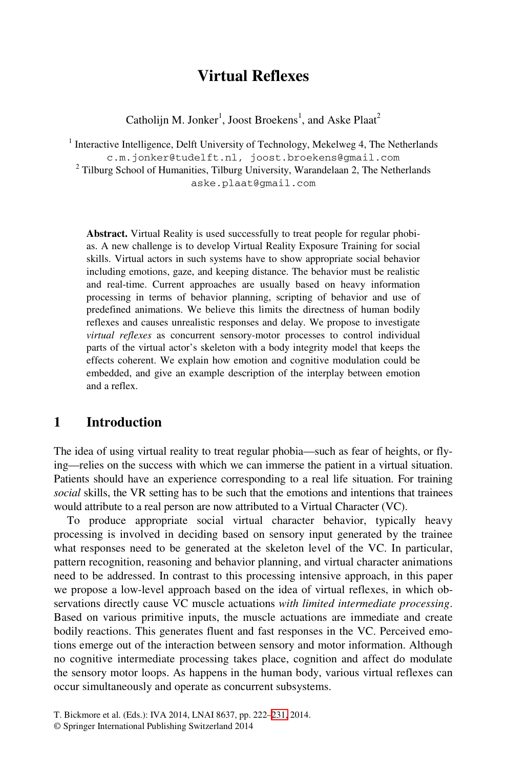## **Virtual Reflexes**

Catholijn M. Jonker<sup>1</sup>, Joost Broekens<sup>1</sup>, and Aske Plaat<sup>2</sup>

<sup>1</sup> Interactive Intelligence, Delft University of Technology, Mekelweg 4, The Netherlands c.m.jonker@tudelft.nl, joost.broekens@gmail.com

<sup>2</sup> Tilburg School of Humanities, Tilburg University, Warandelaan 2, The Netherlands aske.plaat@gmail.com

**Abstract.** Virtual Reality is used successfully to treat people for regular phobias. A new challenge is to develop Virtual Reality Exposure Training for social skills. Virtual actors in such systems have to show appropriate social behavior including emotions, gaze, and keeping distance. The behavior must be realistic and real-time. Current approaches are usually based on heavy information processing in terms of behavior planning, scripting of behavior and use of predefined animations. We believe this limits the directness of human bodily reflexes and causes unrealistic responses and delay. We propose to investigate *virtual reflexes* as concurrent sensory-motor processes to control individual parts of the virtual actor's skeleton with a body integrity model that keeps the effects coherent. We explain how emotion and cognitive modulation could be embedded, and give an example description of the interplay between emotion and a reflex.

#### **1 Introduction**

The idea of using virtual reality to treat regular phobia—such as fear of heights, or flying—relies on the success with which we can immerse the patient in a virtual situation. Patients should have an experience corresponding to a real life situation. For training *social* skills, the VR setting has to be such that the emotions and intentions that trainees would attribute to a real person are now attributed to a Virtual Character (VC).

To produce appropriate social virtual character behavior, typically heavy processing is involved in deciding based on sensory input generated by the trainee what responses need to be generated at the skeleton level of the VC. In particular, pattern recognition, reasoning and behavior planning, and virtual character animations need to be addressed. In contrast to this processing intensive approach, in this paper we propose a low-level approach based on the idea of virtual reflexes, in which observations directly cause V[C m](#page-9-0)uscle actuations *with limited intermediate processing*. Based on various primitive inputs, the muscle actuations are immediate and create bodily reactions. This generates fluent and fast responses in the VC. Perceived emotions emerge out of the interaction between sensory and motor information. Although no cognitive intermediate processing takes place, cognition and affect do modulate the sensory motor loops. As happens in the human body, various virtual reflexes can occur simultaneously and operate as concurrent subsystems.

© Springer International Publishing Switzerland 2014

T. Bickmore et al. (Eds.): IVA 2014, LNAI 8637, pp. 222–231, 2014.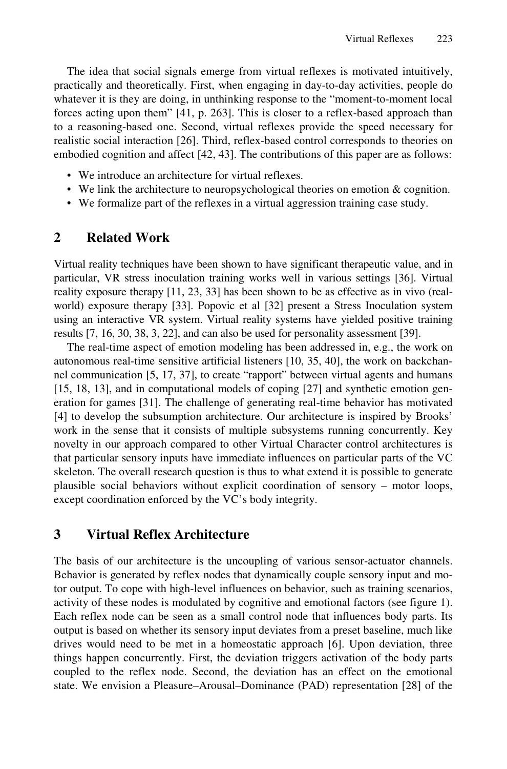The idea that social signals emerge from virtual reflexes is motivated intuitively, practically and theoretically. First, when engaging in day-to-day activities, people do whatever it is they are doing, in unthinking response to the "moment-to-moment local forces acting upon them" [41, p. 263]. This is closer to a reflex-based approach than to a reasoning-based one. Second, virtual reflexes provide the speed necessary for realistic social interaction [26]. Third, reflex-based control corresponds to theories on embodied cognition and affect [42, 43]. The contributions of this paper are as follows:

- We introduce an architecture for virtual reflexes.
- We link the architecture to neuropsychological theories on emotion & cognition.
- We formalize part of the reflexes in a virtual aggression training case study.

## **2 Related Work**

Virtual reality techniques have been shown to have significant therapeutic value, and in particular, VR stress inoculation training works well in various settings [36]. Virtual reality exposure therapy [11, 23, 33] has been shown to be as effective as in vivo (realworld) exposure therapy [33]. Popovic et al [32] present a Stress Inoculation system using an interactive VR system. Virtual reality systems have yielded positive training results [7, 16, 30, 38, 3, 22], and can also be used for personality assessment [39].

The real-time aspect of emotion modeling has been addressed in, e.g., the work on autonomous real-time sensitive artificial listeners [10, 35, 40], the work on backchannel communication [5, 17, 37], to create "rapport" between virtual agents and humans [15, 18, 13], and in computational models of coping [27] and synthetic emotion generation for games [31]. The challenge of generating real-time behavior has motivated [4] to develop the subsumption architecture. Our architecture is inspired by Brooks' work in the sense that it consists of multiple subsystems running concurrently. Key novelty in our approach compared to other Virtual Character control architectures is that particular sensory inputs have immediate influences on particular parts of the VC skeleton. The overall research question is thus to what extend it is possible to generate plausible social behaviors without explicit coordination of sensory – motor loops, except coordination enforced by the VC's body integrity.

# **3 Virtual Reflex Architecture**

The basis of our architecture is the uncoupling of various sensor-actuator channels. Behavior is generated by reflex nodes that dynamically couple sensory input and motor output. To cope with high-level influences on behavior, such as training scenarios, activity of these nodes is modulated by cognitive and emotional factors (see figure 1). Each reflex node can be seen as a small control node that influences body parts. Its output is based on whether its sensory input deviates from a preset baseline, much like drives would need to be met in a homeostatic approach [6]. Upon deviation, three things happen concurrently. First, the deviation triggers activation of the body parts coupled to the reflex node. Second, the deviation has an effect on the emotional state. We envision a Pleasure–Arousal–Dominance (PAD) representation [28] of the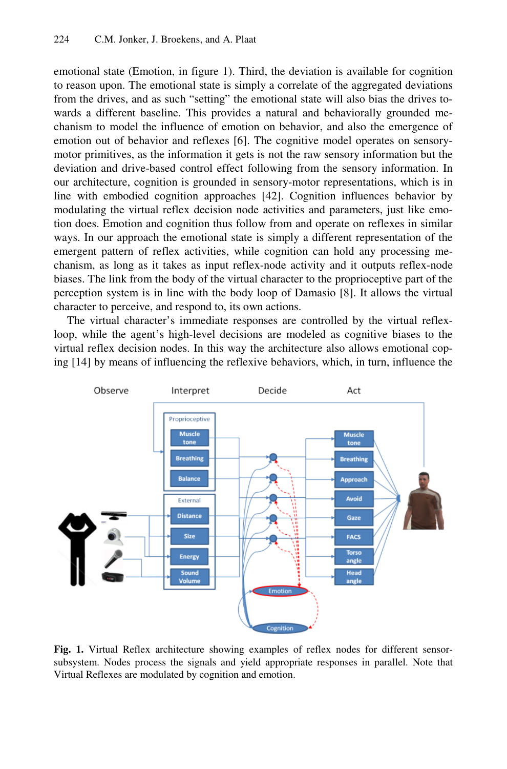emotional state (Emotion, in figure 1). Third, the deviation is available for cognition to reason upon. The emotional state is simply a correlate of the aggregated deviations from the drives, and as such "setting" the emotional state will also bias the drives towards a different baseline. This provides a natural and behaviorally grounded mechanism to model the influence of emotion on behavior, and also the emergence of emotion out of behavior and reflexes [6]. The cognitive model operates on sensorymotor primitives, as the information it gets is not the raw sensory information but the deviation and drive-based control effect following from the sensory information. In our architecture, cognition is grounded in sensory-motor representations, which is in line with embodied cognition approaches [42]. Cognition influences behavior by modulating the virtual reflex decision node activities and parameters, just like emotion does. Emotion and cognition thus follow from and operate on reflexes in similar ways. In our approach the emotional state is simply a different representation of the emergent pattern of reflex activities, while cognition can hold any processing mechanism, as long as it takes as input reflex-node activity and it outputs reflex-node biases. The link from the body of the virtual character to the proprioceptive part of the perception system is in line with the body loop of Damasio [8]. It allows the virtual character to perceive, and respond to, its own actions.

The virtual character's immediate responses are controlled by the virtual reflexloop, while the agent's high-level decisions are modeled as cognitive biases to the virtual reflex decision nodes. In this way the architecture also allows emotional coping [14] by means of influencing the reflexive behaviors, which, in turn, influence the



**Fig. 1.** Virtual Reflex architecture showing examples of reflex nodes for different sensorsubsystem. Nodes process the signals and yield appropriate responses in parallel. Note that Virtual Reflexes are modulated by cognition and emotion.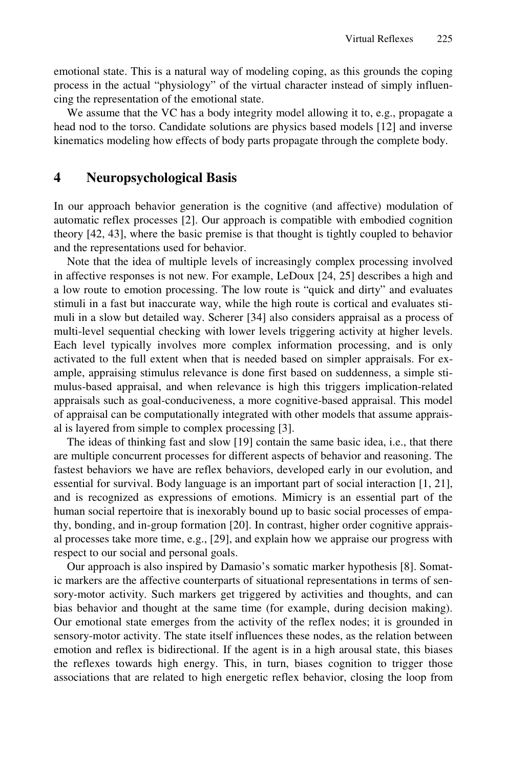emotional state. This is a natural way of modeling coping, as this grounds the coping process in the actual "physiology" of the virtual character instead of simply influencing the representation of the emotional state.

We assume that the VC has a body integrity model allowing it to, e.g., propagate a head nod to the torso. Candidate solutions are physics based models [12] and inverse kinematics modeling how effects of body parts propagate through the complete body.

#### **4 Neuropsychological Basis**

In our approach behavior generation is the cognitive (and affective) modulation of automatic reflex processes [2]. Our approach is compatible with embodied cognition theory [42, 43], where the basic premise is that thought is tightly coupled to behavior and the representations used for behavior.

Note that the idea of multiple levels of increasingly complex processing involved in affective responses is not new. For example, LeDoux [24, 25] describes a high and a low route to emotion processing. The low route is "quick and dirty" and evaluates stimuli in a fast but inaccurate way, while the high route is cortical and evaluates stimuli in a slow but detailed way. Scherer [34] also considers appraisal as a process of multi-level sequential checking with lower levels triggering activity at higher levels. Each level typically involves more complex information processing, and is only activated to the full extent when that is needed based on simpler appraisals. For example, appraising stimulus relevance is done first based on suddenness, a simple stimulus-based appraisal, and when relevance is high this triggers implication-related appraisals such as goal-conduciveness, a more cognitive-based appraisal. This model of appraisal can be computationally integrated with other models that assume appraisal is layered from simple to complex processing [3].

The ideas of thinking fast and slow [19] contain the same basic idea, i.e., that there are multiple concurrent processes for different aspects of behavior and reasoning. The fastest behaviors we have are reflex behaviors, developed early in our evolution, and essential for survival. Body language is an important part of social interaction [1, 21], and is recognized as expressions of emotions. Mimicry is an essential part of the human social repertoire that is inexorably bound up to basic social processes of empathy, bonding, and in-group formation [20]. In contrast, higher order cognitive appraisal processes take more time, e.g., [29], and explain how we appraise our progress with respect to our social and personal goals.

Our approach is also inspired by Damasio's somatic marker hypothesis [8]. Somatic markers are the affective counterparts of situational representations in terms of sensory-motor activity. Such markers get triggered by activities and thoughts, and can bias behavior and thought at the same time (for example, during decision making). Our emotional state emerges from the activity of the reflex nodes; it is grounded in sensory-motor activity. The state itself influences these nodes, as the relation between emotion and reflex is bidirectional. If the agent is in a high arousal state, this biases the reflexes towards high energy. This, in turn, biases cognition to trigger those associations that are related to high energetic reflex behavior, closing the loop from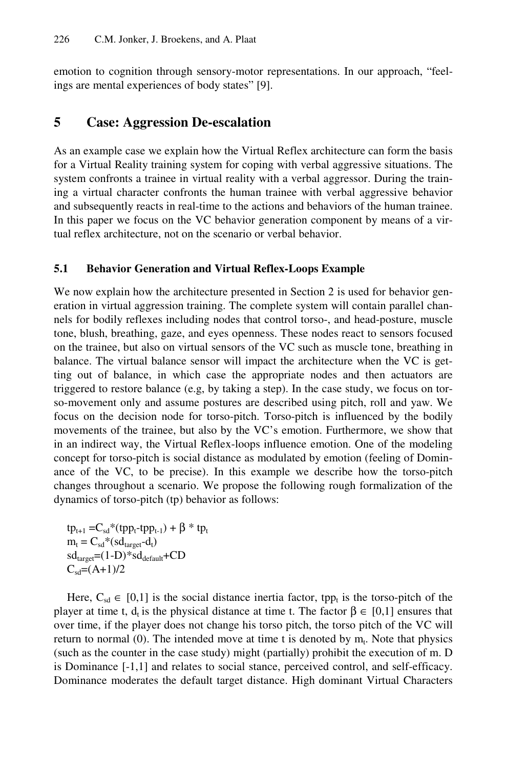emotion to cognition through sensory-motor representations. In our approach, "feelings are mental experiences of body states" [9].

### **5 Case: Aggression De-escalation**

As an example case we explain how the Virtual Reflex architecture can form the basis for a Virtual Reality training system for coping with verbal aggressive situations. The system confronts a trainee in virtual reality with a verbal aggressor. During the training a virtual character confronts the human trainee with verbal aggressive behavior and subsequently reacts in real-time to the actions and behaviors of the human trainee. In this paper we focus on the VC behavior generation component by means of a virtual reflex architecture, not on the scenario or verbal behavior.

#### **5.1 Behavior Generation and Virtual Reflex-Loops Example**

We now explain how the architecture presented in Section 2 is used for behavior generation in virtual aggression training. The complete system will contain parallel channels for bodily reflexes including nodes that control torso-, and head-posture, muscle tone, blush, breathing, gaze, and eyes openness. These nodes react to sensors focused on the trainee, but also on virtual sensors of the VC such as muscle tone, breathing in balance. The virtual balance sensor will impact the architecture when the VC is getting out of balance, in which case the appropriate nodes and then actuators are triggered to restore balance (e.g, by taking a step). In the case study, we focus on torso-movement only and assume postures are described using pitch, roll and yaw. We focus on the decision node for torso-pitch. Torso-pitch is influenced by the bodily movements of the trainee, but also by the VC's emotion. Furthermore, we show that in an indirect way, the Virtual Reflex-loops influence emotion. One of the modeling concept for torso-pitch is social distance as modulated by emotion (feeling of Dominance of the VC, to be precise). In this example we describe how the torso-pitch changes throughout a scenario. We propose the following rough formalization of the dynamics of torso-pitch (tp) behavior as follows:

 $tp_{t+1} = C_{sd} * (tpp_t - tp_{t-1}) + \beta * tp_t$  $m_t = C_{sd} * (sd_{target} - d_t)$  $sd<sub>target</sub>=(1-D)*sd<sub>default</sub>+CD$  $C_{sd}=(A+1)/2$ 

Here,  $C_{sd} \in [0,1]$  is the social distance inertia factor, tpp<sub>t</sub> is the torso-pitch of the player at time t,  $d_t$  is the physical distance at time t. The factor  $\beta \in [0,1]$  ensures that over time, if the player does not change his torso pitch, the torso pitch of the VC will return to normal  $(0)$ . The intended move at time t is denoted by  $m_t$ . Note that physics (such as the counter in the case study) might (partially) prohibit the execution of m. D is Dominance [-1,1] and relates to social stance, perceived control, and self-efficacy. Dominance moderates the default target distance. High dominant Virtual Characters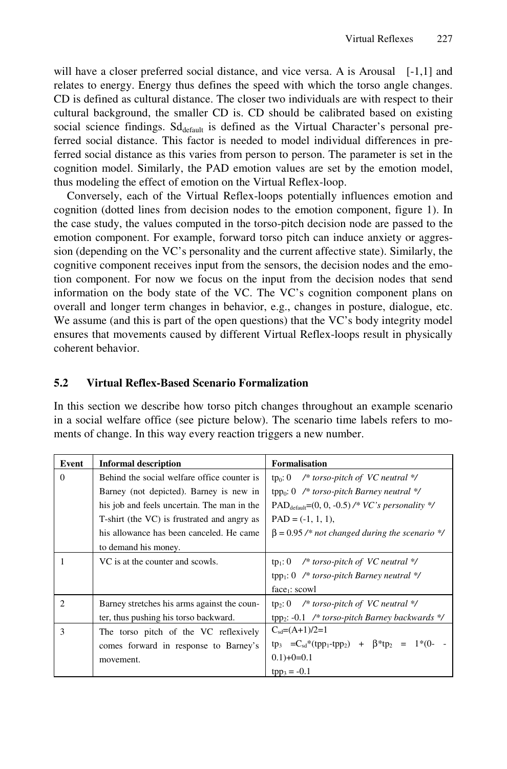will have a closer preferred social distance, and vice versa. A is Arousal [-1,1] and relates to energy. Energy thus defines the speed with which the torso angle changes. CD is defined as cultural distance. The closer two individuals are with respect to their cultural background, the smaller CD is. CD should be calibrated based on existing social science findings.  $Sd_{\text{default}}$  is defined as the Virtual Character's personal preferred social distance. This factor is needed to model individual differences in preferred social distance as this varies from person to person. The parameter is set in the cognition model. Similarly, the PAD emotion values are set by the emotion model, thus modeling the effect of emotion on the Virtual Reflex-loop.

Conversely, each of the Virtual Reflex-loops potentially influences emotion and cognition (dotted lines from decision nodes to the emotion component, figure 1). In the case study, the values computed in the torso-pitch decision node are passed to the emotion component. For example, forward torso pitch can induce anxiety or aggression (depending on the VC's personality and the current affective state). Similarly, the cognitive component receives input from the sensors, the decision nodes and the emotion component. For now we focus on the input from the decision nodes that send information on the body state of the VC. The VC's cognition component plans on overall and longer term changes in behavior, e.g., changes in posture, dialogue, etc. We assume (and this is part of the open questions) that the VC's body integrity model ensures that movements caused by different Virtual Reflex-loops result in physically coherent behavior.

#### **5.2 Virtual Reflex-Based Scenario Formalization**

In this section we describe how torso pitch changes throughout an example scenario in a social welfare office (see picture below). The scenario time labels refers to moments of change. In this way every reaction triggers a new number.

| Event          | <b>Informal description</b>                 | Formalisation                                                                                                 |
|----------------|---------------------------------------------|---------------------------------------------------------------------------------------------------------------|
| $\mathbf{0}$   | Behind the social welfare office counter is | tp <sub>0</sub> : 0 /* torso-pitch of VC neutral */                                                           |
|                | Barney (not depicted). Barney is new in     | tpp <sub>0</sub> : $0$ /* torso-pitch Barney neutral */                                                       |
|                | his job and feels uncertain. The man in the | PAD <sub>default</sub> =(0, 0, -0.5)/* <i>VC</i> 's personality */                                            |
|                | T-shirt (the VC) is frustrated and angry as | $PAD = (-1, 1, 1),$                                                                                           |
|                | his allowance has been canceled. He came    | $\beta$ = 0.95 /* not changed during the scenario */                                                          |
|                | to demand his money.                        |                                                                                                               |
|                | VC is at the counter and scowls.            | tp <sub>1</sub> : 0 /* torso-pitch of VC neutral */                                                           |
|                |                                             | tpp <sub>1</sub> : $0$ /* torso-pitch Barney neutral */                                                       |
|                |                                             | face <sub>1</sub> : scowl                                                                                     |
| $\overline{2}$ | Barney stretches his arms against the coun- | tp <sub>2</sub> : $0$ /* torso-pitch of VC neutral */                                                         |
|                | ter, thus pushing his torso backward.       | tpp <sub>2</sub> : -0.1 /* torso-pitch Barney backwards */                                                    |
| 3              | The torso pitch of the VC reflexively       | $C_{sd} = (A+1)/2=1$                                                                                          |
|                | comes forward in response to Barney's       | tp <sub>3</sub> = C <sub>sd</sub> *(tpp <sub>1</sub> -tpp <sub>2</sub> ) + $\beta$ *tp <sub>2</sub> = 1*(0- - |
|                | movement.                                   | $0.1)+0=0.1$                                                                                                  |
|                |                                             | $tpp_3 = -0.1$                                                                                                |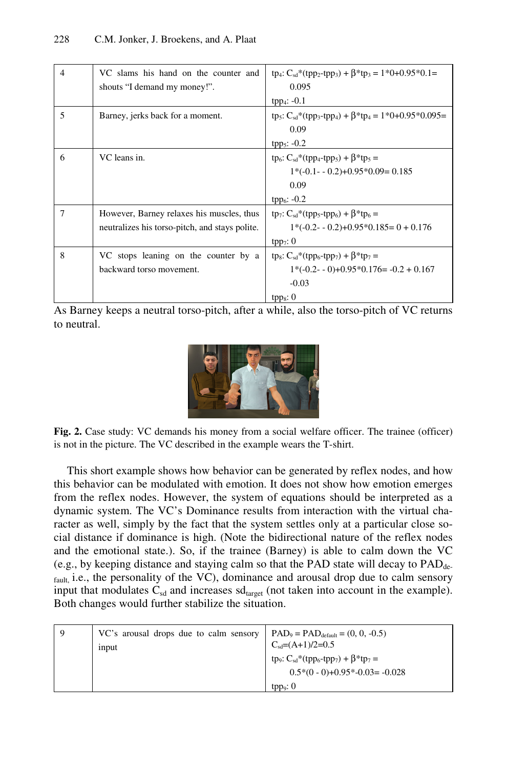| 4      | VC slams his hand on the counter and<br>shouts "I demand my money!".                        | tp <sub>4</sub> : $C_{sd}$ <sup>*</sup> (tpp <sub>2</sub> -tpp <sub>3</sub> ) + $\beta$ <sup>*</sup> tp <sub>3</sub> = 1 <sup>*</sup> 0+0.95 <sup>*</sup> 0.1=<br>0.095  |
|--------|---------------------------------------------------------------------------------------------|--------------------------------------------------------------------------------------------------------------------------------------------------------------------------|
|        |                                                                                             | tpp <sub>4</sub> : $-0.1$                                                                                                                                                |
| 5      | Barney, jerks back for a moment.                                                            | tp <sub>5</sub> : $C_{sd}$ <sup>*</sup> (tpp <sub>3</sub> -tpp <sub>4</sub> ) + $\beta$ <sup>*</sup> tp <sub>4</sub> = 1 <sup>*</sup> 0+0.95 <sup>*</sup> 0.095=<br>0.09 |
|        |                                                                                             | tpp <sub>5</sub> : $-0.2$                                                                                                                                                |
| 6      | VC leans in.                                                                                | tp <sub>6</sub> : $C_{sd}$ *(tpp <sub>4</sub> -tpp <sub>5</sub> ) + $\beta$ *tp <sub>5</sub> =<br>$1*(-0.1 - 0.2)+0.95*0.09=0.185$<br>0.09                               |
|        |                                                                                             | tpp $_6: -0.2$                                                                                                                                                           |
| $\tau$ | However, Barney relaxes his muscles, thus<br>neutralizes his torso-pitch, and stays polite. | tp <sub>7</sub> : $C_{sd}*(tpp_5-tpp_6) + \beta *tp_6 =$<br>$1*(-0.2-0.2)+0.95*0.185=0+0.176$<br>tpp <sub>7</sub> : $0$                                                  |
| 8      | VC stops leaning on the counter by a<br>backward torso movement.                            | tps: $C_{sd}$ *(tpp <sub>6</sub> -tpp <sub>7</sub> ) + $\beta$ *tp <sub>7</sub> =<br>$1*(-0.2-0)+0.95*0.176= -0.2+0.167$<br>$-0.03$<br>tpps: $0$                         |

As Barney keeps a neutral torso-pitch, after a while, also the torso-pitch of VC returns to neutral.



**Fig. 2.** Case study: VC demands his money from a social welfare officer. The trainee (officer) is not in the picture. The VC described in the example wears the T-shirt.

This short example shows how behavior can be generated by reflex nodes, and how this behavior can be modulated with emotion. It does not show how emotion emerges from the reflex nodes. However, the system of equations should be interpreted as a dynamic system. The VC's Dominance results from interaction with the virtual character as well, simply by the fact that the system settles only at a particular close social distance if dominance is high. (Note the bidirectional nature of the reflex nodes and the emotional state.). So, if the trainee (Barney) is able to calm down the VC (e.g., by keeping distance and staying calm so that the PAD state will decay to  $\text{PAD}_{\text{de}}$ . fault, i.e., the personality of the VC), dominance and arousal drop due to calm sensory input that modulates  $C_{sd}$  and increases  $sd_{target}$  (not taken into account in the example). Both changes would further stabilize the situation.

| VC's arousal drops due to calm sensory<br>input | $PAD_9 = PAD_{default} = (0, 0, -0.5)$<br>$C_{sd} = (A+1)/2 = 0.5$<br>tp <sub>9</sub> : $C_{sd}*(tpp_6-tpp_7) + \beta *tp_7 =$<br>$0.5*(0-0)+0.95*-0.03=-0.028$ |
|-------------------------------------------------|-----------------------------------------------------------------------------------------------------------------------------------------------------------------|
|                                                 | tpp $\alpha$ : 0                                                                                                                                                |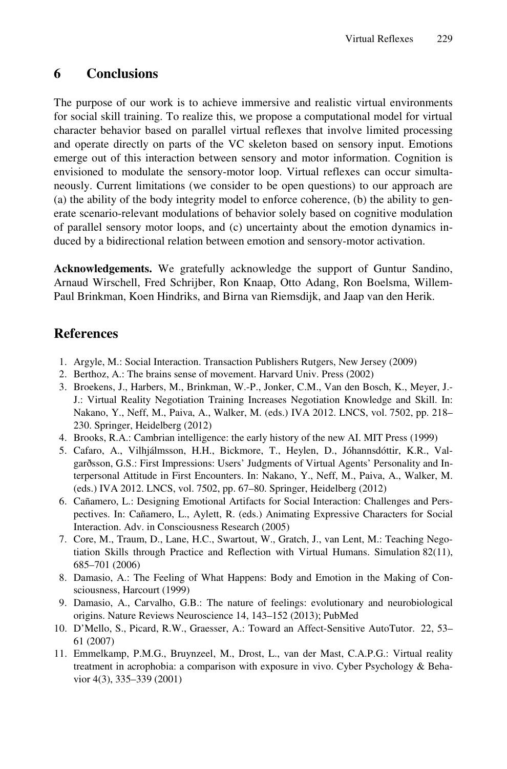## **6 Conclusions**

The purpose of our work is to achieve immersive and realistic virtual environments for social skill training. To realize this, we propose a computational model for virtual character behavior based on parallel virtual reflexes that involve limited processing and operate directly on parts of the VC skeleton based on sensory input. Emotions emerge out of this interaction between sensory and motor information. Cognition is envisioned to modulate the sensory-motor loop. Virtual reflexes can occur simultaneously. Current limitations (we consider to be open questions) to our approach are (a) the ability of the body integrity model to enforce coherence, (b) the ability to generate scenario-relevant modulations of behavior solely based on cognitive modulation of parallel sensory motor loops, and (c) uncertainty about the emotion dynamics induced by a bidirectional relation between emotion and sensory-motor activation.

**Acknowledgements.** We gratefully acknowledge the support of Guntur Sandino, Arnaud Wirschell, Fred Schrijber, Ron Knaap, Otto Adang, Ron Boelsma, Willem-Paul Brinkman, Koen Hindriks, and Birna van Riemsdijk, and Jaap van den Herik.

# **References**

- 1. Argyle, M.: Social Interaction. Transaction Publishers Rutgers, New Jersey (2009)
- 2. Berthoz, A.: The brains sense of movement. Harvard Univ. Press (2002)
- 3. Broekens, J., Harbers, M., Brinkman, W.-P., Jonker, C.M., Van den Bosch, K., Meyer, J.- J.: Virtual Reality Negotiation Training Increases Negotiation Knowledge and Skill. In: Nakano, Y., Neff, M., Paiva, A., Walker, M. (eds.) IVA 2012. LNCS, vol. 7502, pp. 218– 230. Springer, Heidelberg (2012)
- 4. Brooks, R.A.: Cambrian intelligence: the early history of the new AI. MIT Press (1999)
- 5. Cafaro, A., Vilhjálmsson, H.H., Bickmore, T., Heylen, D., Jóhannsdóttir, K.R., Valgarðsson, G.S.: First Impressions: Users' Judgments of Virtual Agents' Personality and Interpersonal Attitude in First Encounters. In: Nakano, Y., Neff, M., Paiva, A., Walker, M. (eds.) IVA 2012. LNCS, vol. 7502, pp. 67–80. Springer, Heidelberg (2012)
- 6. Cañamero, L.: Designing Emotional Artifacts for Social Interaction: Challenges and Perspectives. In: Cañamero, L., Aylett, R. (eds.) Animating Expressive Characters for Social Interaction. Adv. in Consciousness Research (2005)
- 7. Core, M., Traum, D., Lane, H.C., Swartout, W., Gratch, J., van Lent, M.: Teaching Negotiation Skills through Practice and Reflection with Virtual Humans. Simulation 82(11), 685–701 (2006)
- 8. Damasio, A.: The Feeling of What Happens: Body and Emotion in the Making of Consciousness, Harcourt (1999)
- 9. Damasio, A., Carvalho, G.B.: The nature of feelings: evolutionary and neurobiological origins. Nature Reviews Neuroscience 14, 143–152 (2013); PubMed
- 10. D'Mello, S., Picard, R.W., Graesser, A.: Toward an Affect-Sensitive AutoTutor. 22, 53– 61 (2007)
- 11. Emmelkamp, P.M.G., Bruynzeel, M., Drost, L., van der Mast, C.A.P.G.: Virtual reality treatment in acrophobia: a comparison with exposure in vivo. Cyber Psychology & Behavior 4(3), 335–339 (2001)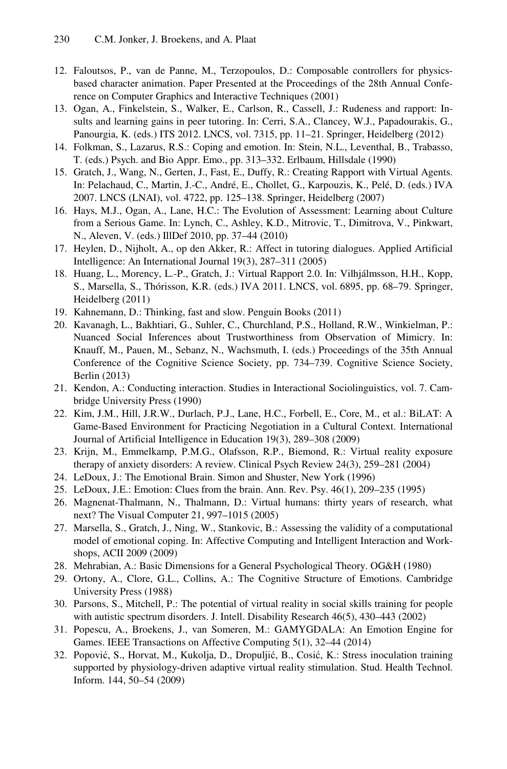- 12. Faloutsos, P., van de Panne, M., Terzopoulos, D.: Composable controllers for physicsbased character animation. Paper Presented at the Proceedings of the 28th Annual Conference on Computer Graphics and Interactive Techniques (2001)
- 13. Ogan, A., Finkelstein, S., Walker, E., Carlson, R., Cassell, J.: Rudeness and rapport: Insults and learning gains in peer tutoring. In: Cerri, S.A., Clancey, W.J., Papadourakis, G., Panourgia, K. (eds.) ITS 2012. LNCS, vol. 7315, pp. 11–21. Springer, Heidelberg (2012)
- 14. Folkman, S., Lazarus, R.S.: Coping and emotion. In: Stein, N.L., Leventhal, B., Trabasso, T. (eds.) Psych. and Bio Appr. Emo., pp. 313–332. Erlbaum, Hillsdale (1990)
- 15. Gratch, J., Wang, N., Gerten, J., Fast, E., Duffy, R.: Creating Rapport with Virtual Agents. In: Pelachaud, C., Martin, J.-C., André, E., Chollet, G., Karpouzis, K., Pelé, D. (eds.) IVA 2007. LNCS (LNAI), vol. 4722, pp. 125–138. Springer, Heidelberg (2007)
- 16. Hays, M.J., Ogan, A., Lane, H.C.: The Evolution of Assessment: Learning about Culture from a Serious Game. In: Lynch, C., Ashley, K.D., Mitrovic, T., Dimitrova, V., Pinkwart, N., Aleven, V. (eds.) IllDef 2010, pp. 37–44 (2010)
- 17. Heylen, D., Nijholt, A., op den Akker, R.: Affect in tutoring dialogues. Applied Artificial Intelligence: An International Journal 19(3), 287–311 (2005)
- 18. Huang, L., Morency, L.-P., Gratch, J.: Virtual Rapport 2.0. In: Vilhjálmsson, H.H., Kopp, S., Marsella, S., Thórisson, K.R. (eds.) IVA 2011. LNCS, vol. 6895, pp. 68–79. Springer, Heidelberg (2011)
- 19. Kahnemann, D.: Thinking, fast and slow. Penguin Books (2011)
- 20. Kavanagh, L., Bakhtiari, G., Suhler, C., Churchland, P.S., Holland, R.W., Winkielman, P.: Nuanced Social Inferences about Trustworthiness from Observation of Mimicry. In: Knauff, M., Pauen, M., Sebanz, N., Wachsmuth, I. (eds.) Proceedings of the 35th Annual Conference of the Cognitive Science Society, pp. 734–739. Cognitive Science Society, Berlin (2013)
- 21. Kendon, A.: Conducting interaction. Studies in Interactional Sociolinguistics, vol. 7. Cambridge University Press (1990)
- 22. Kim, J.M., Hill, J.R.W., Durlach, P.J., Lane, H.C., Forbell, E., Core, M., et al.: BiLAT: A Game-Based Environment for Practicing Negotiation in a Cultural Context. International Journal of Artificial Intelligence in Education 19(3), 289–308 (2009)
- 23. Krijn, M., Emmelkamp, P.M.G., Olafsson, R.P., Biemond, R.: Virtual reality exposure therapy of anxiety disorders: A review. Clinical Psych Review 24(3), 259–281 (2004)
- 24. LeDoux, J.: The Emotional Brain. Simon and Shuster, New York (1996)
- 25. LeDoux, J.E.: Emotion: Clues from the brain. Ann. Rev. Psy. 46(1), 209–235 (1995)
- 26. Magnenat-Thalmann, N., Thalmann, D.: Virtual humans: thirty years of research, what next? The Visual Computer 21, 997–1015 (2005)
- 27. Marsella, S., Gratch, J., Ning, W., Stankovic, B.: Assessing the validity of a computational model of emotional coping. In: Affective Computing and Intelligent Interaction and Workshops, ACII 2009 (2009)
- 28. Mehrabian, A.: Basic Dimensions for a General Psychological Theory. OG&H (1980)
- 29. Ortony, A., Clore, G.L., Collins, A.: The Cognitive Structure of Emotions. Cambridge University Press (1988)
- 30. Parsons, S., Mitchell, P.: The potential of virtual reality in social skills training for people with autistic spectrum disorders. J. Intell. Disability Research 46(5), 430–443 (2002)
- 31. Popescu, A., Broekens, J., van Someren, M.: GAMYGDALA: An Emotion Engine for Games. IEEE Transactions on Affective Computing 5(1), 32–44 (2014)
- 32. Popović, S., Horvat, M., Kukolja, D., Dropuljić, B., Cosić, K.: Stress inoculation training supported by physiology-driven adaptive virtual reality stimulation. Stud. Health Technol. Inform. 144, 50–54 (2009)